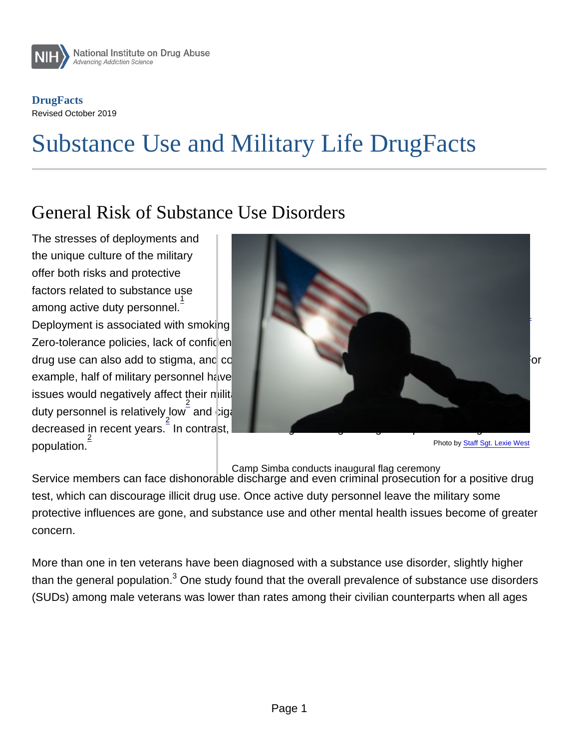**DrugFacts** Revised October 2019

# Substance Use and Military Life DrugFacts

## General Risk of Substance Use Disorders

The stresses of deployments and the unique culture of the military offer both risks and protective factors related to substance use among active duty personnel. $\frac{1}{\cdot}$ 

Deployment is associated with smoking initiation, unhealthy drinking, drug use and risky behaviors.  $\frac{1}{2}$ Zero-tolerance policies, lack of confidentiality and mandatory random drug testing that might deter drug use can also add to stigma, and could discourage many who need treatment from seeking it. For example, half of military personnel have reported that they believe seeking help for mental health issues would negatively affect their military career. However, overall, illicit drug use among active duty personnel is relatively low  $\frac{2}{3}$  and cigarette smoking and misuse of prescription drugs have decreased in recent years. 2 In contrast, rates of binge drinking are high compared to the general population. 2 Photo by [Staff Sgt. Lexie West](https://www.dvidshub.net/image/5737882/camp-simba-conducts-inaugural-flag-ceremony)

Camp Simba conducts inaugural flag ceremony

Service members can face dishonorable discharge and even criminal prosecution for a positive drug test, which can discourage illicit drug use. Once active duty personnel leave the military some protective influences are gone, and substance use and other mental health issues become of greater concern.

More than one in ten veterans have been diagnosed with a substance use disorder, slightly higher than the general population. $^3$  One study found that the overall prevalence of substance use disorders (SUDs) among male veterans was lower than rates among their civilian counterparts when all ages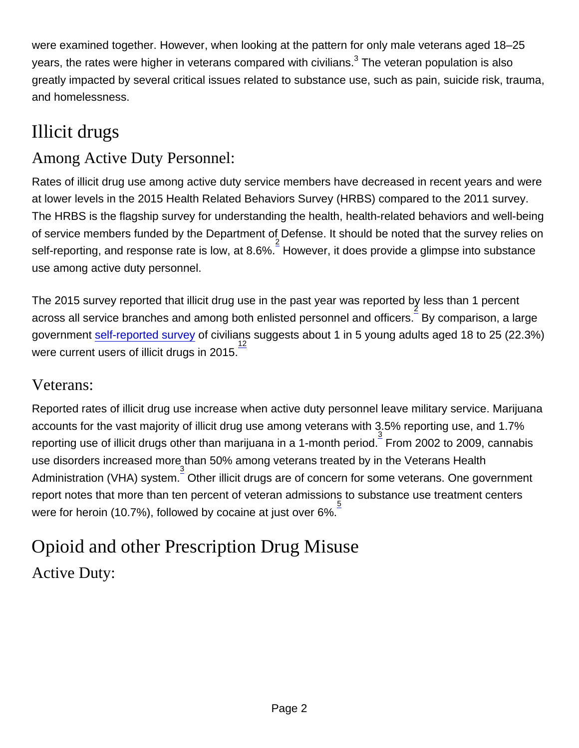were examined together. However, when looking at the pattern for only male veterans aged 18–25 years, the rates were higher in veterans compared with civilians. $^3$  The veteran population is also greatly impacted by several critical issues related to substance use, such as pain, suicide risk, trauma, and homelessness.

# Illicit drugs

## Among Active Duty Personnel:

Rates of illicit drug use among active duty service members have decreased in recent years and were at lower levels in the 2015 Health Related Behaviors Survey (HRBS) compared to the 2011 survey. The HRBS is the flagship survey for understanding the health, health-related behaviors and well-being of service members funded by the Department of Defense. It should be noted that the survey relies on self-reporting, and response rate is low, at 8.6%.  $\frac{2}{3}$  However, it does provide a glimpse into substance use among active duty personnel.

The 2015 survey reported that illicit drug use in the past year was reported by less than 1 percent across all service branches and among both enlisted personnel and officers. By comparison, a large government [self-reported survey](https://www.samhsa.gov/data/sites/default/files/NSDUH-FFR1-2015/NSDUH-FFR1-2015/NSDUH-FFR1-2015.pdf) of civilians suggests about 1 in 5 young adults aged 18 to 25 (22.3%)  $\frac{1}{2}$  were current users of illicit drugs in 2015.<sup>12</sup>

#### Veterans:

Reported rates of illicit drug use increase when active duty personnel leave military service. Marijuana accounts for the vast majority of illicit drug use among veterans with 3.5% reporting use, and 1.7% reporting use of illicit drugs other than marijuana in a 1-month period. From 2002 to 2009, cannabis use disorders increased more than 50% among veterans treated by in the Veterans Health Administration (VHA) system. 3 Other illicit drugs are of concern for some veterans. One government report notes that more than ten percent of veteran admissions to substance use treatment centers were for heroin (10.7%), followed by cocaine at just over 6%.  $\overline{\text{ }}^{5}$ 

# Opioid and other Prescription Drug Misuse Active Duty: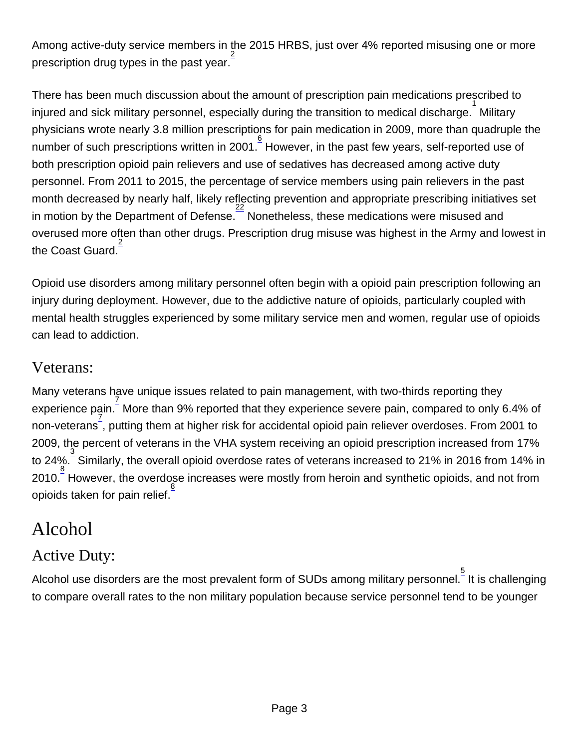Among active-duty service members in the 2015 HRBS, just over 4% reported misusing one or more prescription drug types in the past year.

There has been much discussion about the amount of prescription pain medications prescribed to injured and sick military personnel, especially during the transition to medical discharge. $\overset{1}{\rule{0pt}{0pt}}$  Military physicians wrote nearly 3.8 million prescriptions for pain medication in 2009, more than quadruple the .<br>number of such prescriptions written in 2001.  $\overline{\raisebox{.3ex}{\scriptsize$\bullet$}}$  However, in the past few years, self-reported use of both prescription opioid pain relievers and use of sedatives has decreased among active duty personnel. From 2011 to 2015, the percentage of service members using pain relievers in the past month decreased by nearly half, likely reflecting prevention and appropriate prescribing initiatives set in motion by the Department of Defense.<sup>22</sup> Nonetheless, these medications were misused and overused more often than other drugs. Prescription drug misuse was highest in the Army and lowest in the Coast Guard. 2

Opioid use disorders among military personnel often begin with a opioid pain prescription following an injury during deployment. However, due to the addictive nature of opioids, particularly coupled with mental health struggles experienced by some military service men and women, regular use of opioids can lead to addiction.

#### Veterans:

Many veterans have unique issues related to pain management, with two-thirds reporting they experience pain. 7 More than 9% reported that they experience severe pain, compared to only 6.4% of non-veterans , putting them at higher risk for accidental opioid pain reliever overdoses. From 2001 to 2009, the percent of veterans in the VHA system receiving an opioid prescription increased from 17% to 24%. 3 Similarly, the overall opioid overdose rates of veterans increased to 21% in 2016 from 14% in 2010.  $\frac{8}{3}$  However, the overdose increases were mostly from heroin and synthetic opioids, and not from opioids taken for pain relief.<sup>8</sup>

## Alcohol

## Active Duty:

Alcohol use disorders are the most prevalent form of SUDs among military personnel. $\frac{5}{5}$  It is challenging to compare overall rates to the non military population because service personnel tend to be younger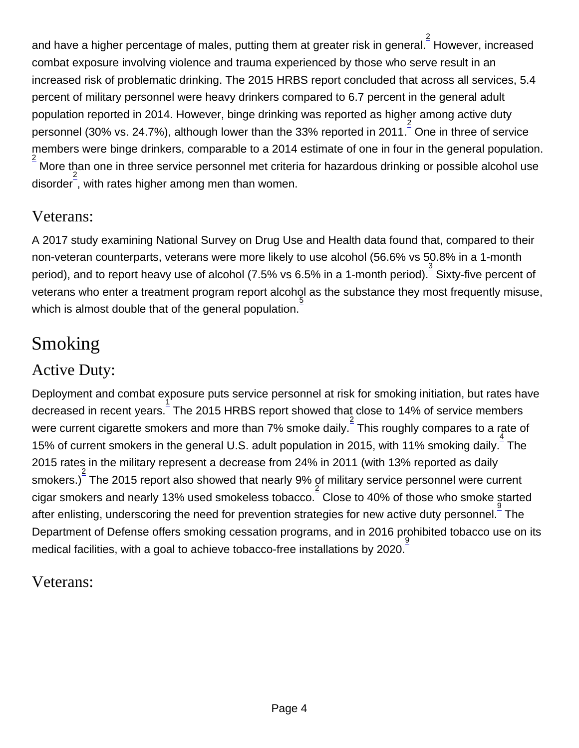and have a higher percentage of males, putting them at greater risk in general. $\frac{2}{\cdot}$  However, increased combat exposure involving violence and trauma experienced by those who serve result in an increased risk of problematic drinking. The 2015 HRBS report concluded that across all services, 5.4 percent of military personnel were heavy drinkers compared to 6.7 percent in the general adult population reported in 2014. However, binge drinking was reported as higher among active duty personnel (30% vs. 24.7%), although lower than the 33% reported in 2011.  $\overline{\phantom{a}^2}$  One in three of service members were binge drinkers, comparable to a 2014 estimate of one in four in the general population. 2 More than one in three service personnel met criteria for hazardous drinking or possible alcohol use disorder<sup>2</sup>, with rates higher among men than women.

### Veterans:

A 2017 study examining National Survey on Drug Use and Health data found that, compared to their non-veteran counterparts, veterans were more likely to use alcohol (56.6% vs 50.8% in a 1-month period), and to report heavy use of alcohol (7.5% vs 6.5% in a 1-month period). <sup>3</sup> Sixty-five percent of veterans who enter a treatment program report alcohol as the substance they most frequently misuse, which is almost double that of the general population.  $\frac{5}{5}$ 

# **Smoking**

#### Active Duty:

Deployment and combat exposure puts service personnel at risk for smoking initiation, but rates have decreased in recent years.  $\frac{1}{2}$  The 2015 HRBS report showed that close to 14% of service members were current cigarette smokers and more than 7% smoke daily.  $\frac{2}{3}$  This roughly compares to a rate of 15% of current smokers in the general U.S. adult population in 2015, with 11% smoking daily.<sup>4</sup> The 2015 rates in the military represent a decrease from 24% in 2011 (with 13% reported as daily smokers.) $\frac{2}{3}$  The 2015 report also showed that nearly 9% of military service personnel were current cigar smokers and nearly 13% used smokeless tobacco. 2 Close to 40% of those who smoke started  $\frac{3}{2}$  after enlisting, underscoring the need for prevention strategies for new active duty personnel.  $\frac{9}{2}$  The Department of Defense offers smoking cessation programs, and in 2016 prohibited tobacco use on its medical facilities, with a goal to achieve tobacco-free installations by 2020.

#### Veterans: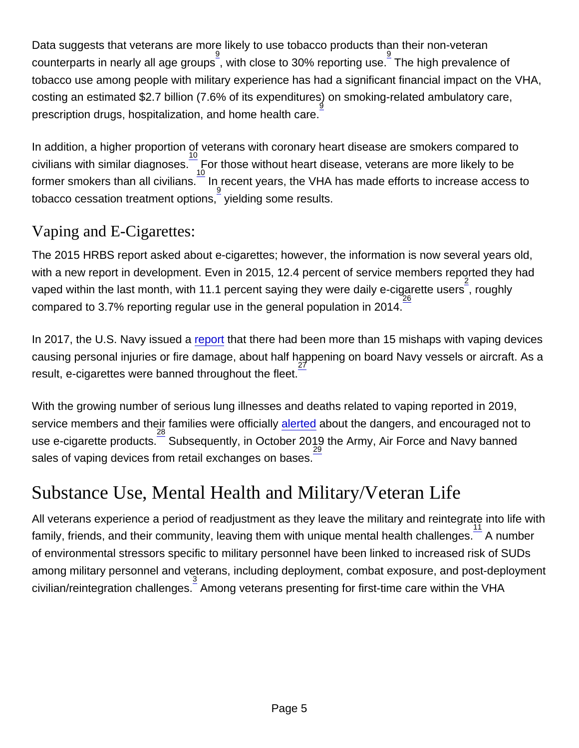Data suggests that veterans are more likely to use tobacco products than their non-veteran  $\frac{9}{2}$  counterparts in nearly all age groups , with close to 30% reporting use. The high prevalence of tobacco use among people with military experience has had a significant financial impact on the VHA, costing an estimated \$2.7 billion (7.6% of its expenditures) on smoking-related ambulatory care, prescription drugs, hospitalization, and home health care.  $\mathfrak g$ 

In addition, a higher proportion of veterans with coronary heart disease are smokers compared to civilians with similar diagnoses.  $\frac{10}{10}$  For those without heart disease, veterans are more likely to be former smokers than all civilians. $^-$  In recent years, the VHA has made efforts to increase access to tobacco cessation treatment options, 9 yielding some results.

## Vaping and E-Cigarettes:

The 2015 HRBS report asked about e-cigarettes; however, the information is now several years old, with a new report in development. Even in 2015, 12.4 percent of service members reported they had vaped within the last month, with 11.1 percent saying they were daily e-cigarette users<sup>2</sup>, roughly compared to 3.7% reporting regular use in the general population in 2014.

In 2017, the U.S. Navy issued a [report](https://www.navy.mil/Press-Office/Press-Releases/display-pressreleases/Article/2251759/use-of-electronic-nicotine-delivery-systems-ashore-guidlines) that there had been more than 15 mishaps with vaping devices causing personal injuries or fire damage, about half happening on board Navy vessels or aircraft. As a result, e-cigarettes were banned throughout the fleet. 27

With the growing number of serious lung illnesses and deaths related to vaping reported in 2019, service members and their families were officially [alerted](https://phc.amedd.army.mil/topics/healthyliving/tfl/Pages/Vaping.aspx) about the dangers, and encouraged not to use e-cigarette products.<sup>28</sup> Subsequently, in October 2019 the Army, Air Force and Navy banned sales of vaping devices from retail exchanges on bases. 29

## Substance Use, Mental Health and Military/Veteran Life

All veterans experience a period of readjustment as they leave the military and reintegrate into life with family, friends, and their community, leaving them with unique mental health challenges.  $\frac{11}{2}$  A number of environmental stressors specific to military personnel have been linked to increased risk of SUDs among military personnel and veterans, including deployment, combat exposure, and post-deployment civilian/reintegration challenges. 3 Among veterans presenting for first-time care within the VHA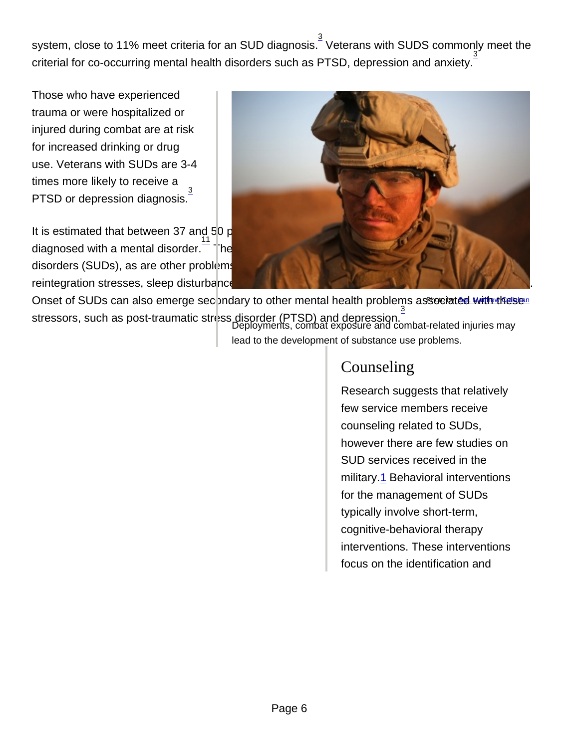system, close to 11% meet criteria for an SUD diagnosis. $\frac{3}{5}$  Veterans with SUDS commonly meet the criterial for co-occurring mental health disorders such as PTSD, depression and anxiety.

Those who have experienced trauma or were hospitalized or injured during combat are at risk for increased drinking or drug use. Veterans with SUDs are 3-4 times more likely to receive a PTSD or depression diagnosis. 3

It is estimated that between 37 and 50 percent of Afghanistan and Iraq War veterans have been diagnosed with a mental disorder.<sup>11</sup> These conditions are strongly associated with substance use disorders (SUDs), as are other problems experienced by returning military personnel, including reintegration stresses, sleep disturbances, traumatic brain injury (TBI), and violence in relationships. Onset of SUDs can also emerge sec**pndary to other mental health problems** associa[ted with these](https://www.dvidshub.net)n stressors, such as post-traumatic stress disorder (PTSD) and depression.<sup>3</sup> Deployments, combat exposure and combat-related injuries may

lead to the development of substance use problems.

#### **Counseling**

Research suggests that relatively few service members receive counseling related to SUDs, however there are few studies on SUD services received in the military.1 Behavioral interventions for the management of SUDs typically involve short-term, cognitive-behavioral therapy interventions. These interventions focus on the identification and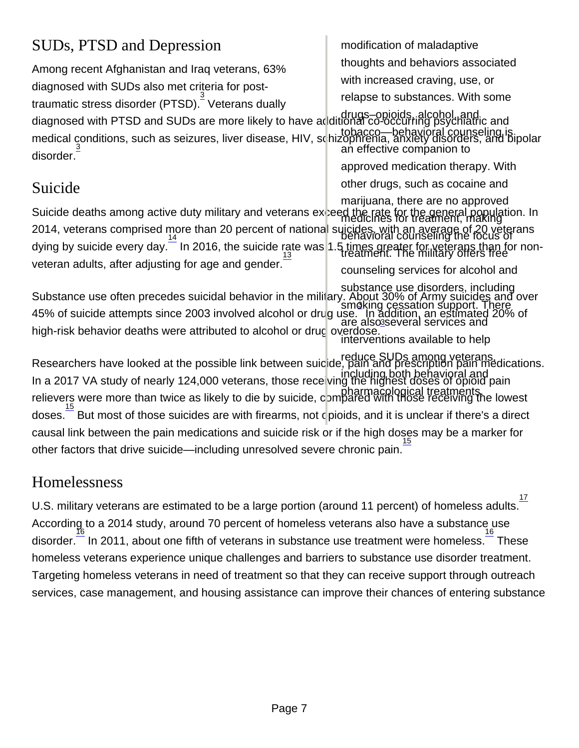## SUDs, PTSD and Depression

Among recent Afghanistan and Iraq veterans, 63% diagnosed with SUDs also met criteria for posttraumatic stress disorder (PTSD). $\frac{3}{5}$  Veterans dually diagnosed with PTSD and SUDs are more likely to have additional co-occurring psychiatric and medical conditions, such as seizures, liver disease, HIV, schizophrenia, anxiety disorders, and bipolar<br>30 an effective companion to disorder. drugs–opioids, alcohol, and tobacco—behavioral counseling is an effective companion to

## Suicide

Suicide deaths among active duty military and veterans expeed the rate for the general population. In<br>medicines for treatment, making 2014, veterans comprised more than 20 percent of national suicides, with an average of 20 veterans 14 behavioral counseling the focus of dying by suicide every day. In 2016, the suicide rate was 1.5 times greater for veterans than for non-13 treatment. The military offers free veteran adults, after adjusting for age and gender. marijuana, there are no approved counseling services for alcohol and

Substance use often precedes suicidal behavior in the military. About 30% of Army suicides and over smoking cessation support. There <sup>2003</sup> involved alcohol or drug use. In addition, an estimated 20% of <sup>3</sup><br>are also<sup>3</sup>several services and high-risk behavior deaths were attributed to alcohol or drug overdose. substance use disorders, including smoking cessation support. There are also several services and interventions available to help

Researchers have looked at the possible link between suicide, pain and prescription pain medications. reduce SUDs among veterans, In a 2017 VA study of nearly 124,000 veterans, those receiving the highest doses of opioid pain relievers were more than twice as likely to die by suicide, compared with those receiving the lowest doses. <sup>15</sup> But most of those suicides are with firearms, not c pioids, and it is unclear if there's a direct causal link between the pain medications and suicide risk or if the high doses may be a marker for other factors that drive suicide—including unresolved severe chronic pain. 15

#### Homelessness

U.S. military veterans are estimated to be a large portion (around 11 percent) of homeless adults. 17 According to a 2014 study, around 70 percent of homeless veterans also have a substance use disorder.  $\frac{16}{16}$  In 2011, about one fifth of veterans in substance use treatment were homeless.  $\frac{16}{16}$  These homeless veterans experience unique challenges and barriers to substance use disorder treatment. Targeting homeless veterans in need of treatment so that they can receive support through outreach services, case management, and housing assistance can improve their chances of entering substance

modification of maladaptive

thoughts and behaviors associated

with increased craving, use, or

relapse to substances. With some

approved medication therapy. With other drugs, such as cocaine and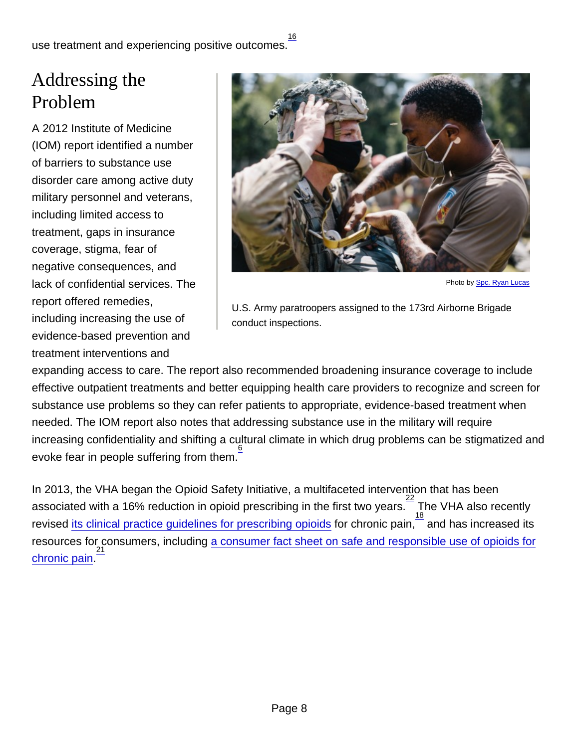16

use treatment and experiencing positive outcomes.

## Addressing the Problem

A 2012 Institute of Medicine (IOM) report identified a number of barriers to substance use disorder care among active duty military personnel and veterans, including limited access to treatment, gaps in insurance coverage, stigma, fear of negative consequences, and lack of confidential services. The report offered remedies, including increasing the use of evidence-based prevention and treatment interventions and



U.S. Army paratroopers assigned to the 173rd Airborne Brigade conduct inspections.

expanding access to care. The report also recommended broadening insurance coverage to include effective outpatient treatments and better equipping health care providers to recognize and screen for substance use problems so they can refer patients to appropriate, evidence-based treatment when needed. The IOM report also notes that addressing substance use in the military will require increasing confidentiality and shifting a cultural climate in which drug problems can be stigmatized and evoke fear in people suffering from them. 6

In 2013, the VHA began the Opioid Safety Initiative, a multifaceted intervention that has been associated with a 16% reduction in opioid prescribing in the first two years.  $\frac{22}{18}$  The VHA also recently revised [its clinical practice guidelines for prescribing opioids](https://www.visn20.med.va.gov/VISN20/services/pain/index.asp) for chronic pain,<sup>—</sup> and has increased its resources for consumers, including [a consumer fact sheet on safe and responsible use of opioids for](https://www.va.gov/PAINMANAGEMENT/Opioid_Safety/OSI_docs/10-791-Safe_and_Responsible_Use_508.pdf) [chronic pain](https://www.va.gov/PAINMANAGEMENT/Opioid_Safety/OSI_docs/10-791-Safe_and_Responsible_Use_508.pdf). 21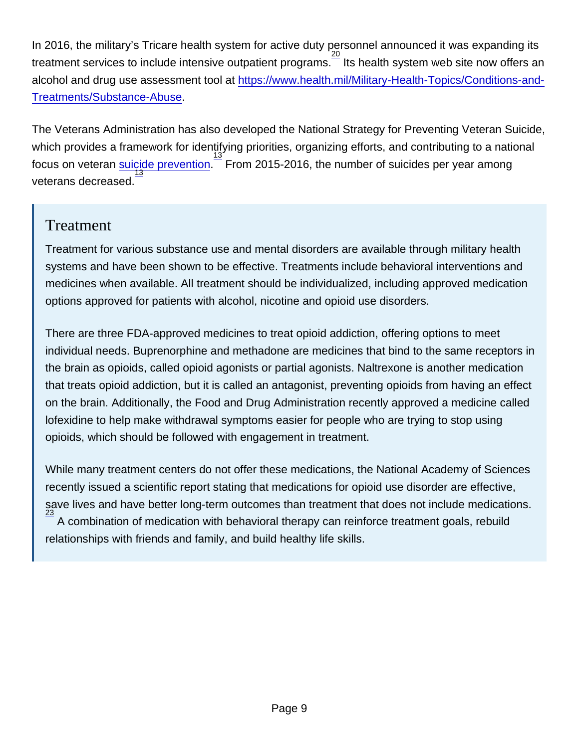In 2016, the military's Tricare health system for active duty personnel announced it was expanding its treatment services to include intensive outpatient programs. <sup>20</sup><br>Its health system web site now offers an alcohol and drug use assessment tool at [https://www.health.mil/Military-Health-Topics/Conditions-and-](https://www.health.mil/Military-Health-Topics/Conditions-and-Treatments/Substance-Abuse)[Treatments/Substance-Abuse](https://www.health.mil/Military-Health-Topics/Conditions-and-Treatments/Substance-Abuse).

The Veterans Administration has also developed the National Strategy for Preventing Veteran Suicide, which provides a framework for identifying priorities, organizing efforts, and contributing to a national focus on veteran [suicide prevention.](https://www.mentalhealth.va.gov/suicide_prevention/docs/Office-of-Mental-Health-and-Suicide-Prevention-National-Strategy-for-Preventing-Veterans-Suicide.pdf) 13 From 2015-2016, the number of suicides per year among veterans decreased. 13

#### **Treatment**

Treatment for various substance use and mental disorders are available through military health systems and have been shown to be effective. Treatments include behavioral interventions and medicines when available. All treatment should be individualized, including approved medication options approved for patients with alcohol, nicotine and opioid use disorders.

There are three FDA-approved medicines to treat opioid addiction, offering options to meet individual needs. Buprenorphine and methadone are medicines that bind to the same receptors in the brain as opioids, called opioid agonists or partial agonists. Naltrexone is another medication that treats opioid addiction, but it is called an antagonist, preventing opioids from having an effect on the brain. Additionally, the Food and Drug Administration recently approved a medicine called lofexidine to help make withdrawal symptoms easier for people who are trying to stop using opioids, which should be followed with engagement in treatment.

While many treatment centers do not offer these medications, the National Academy of Sciences recently issued a scientific report stating that medications for opioid use disorder are effective, save lives and have better long-term outcomes than treatment that does not include medications. 23 A combination of medication with behavioral therapy can reinforce treatment goals, rebuild relationships with friends and family, and build healthy life skills.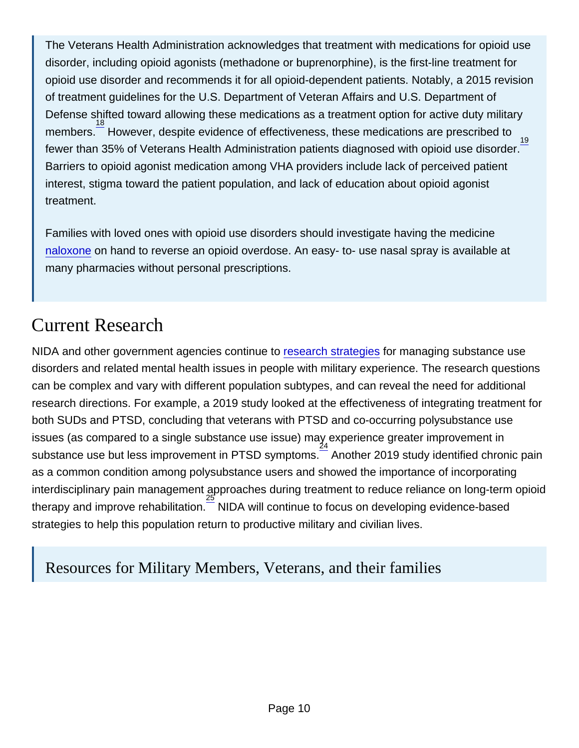The Veterans Health Administration acknowledges that treatment with medications for opioid use disorder, including opioid agonists (methadone or buprenorphine), is the first-line treatment for opioid use disorder and recommends it for all opioid-dependent patients. Notably, a 2015 revision of treatment guidelines for the U.S. Department of Veteran Affairs and U.S. Department of Defense shifted toward allowing these medications as a treatment option for active duty military members.<sup>18</sup> However, despite evidence of effectiveness, these medications are prescribed to fewer than 35% of Veterans Health Administration patients diagnosed with opioid use disorder. 19 Barriers to opioid agonist medication among VHA providers include lack of perceived patient interest, stigma toward the patient population, and lack of education about opioid agonist treatment.

Families with loved ones with opioid use disorders should investigate having the medicine [naloxone](http://nida.nih.gov/node/22868/) on hand to reverse an opioid overdose. An easy- to- use nasal spray is available at many pharmacies without personal prescriptions.

## Current Research

NIDA and other government agencies continue to [research strategies](http://nida.nih.gov/drug-topics/military-life-substance-use) for managing substance use disorders and related mental health issues in people with military experience. The research questions can be complex and vary with different population subtypes, and can reveal the need for additional research directions. For example, a 2019 study looked at the effectiveness of integrating treatment for both SUDs and PTSD, concluding that veterans with PTSD and co-occurring polysubstance use issues (as compared to a single substance use issue) may experience greater improvement in substance use but less improvement in PTSD symptoms.  $\frac{24}{5}$  Another 2019 study identified chronic pain as a common condition among polysubstance users and showed the importance of incorporating interdisciplinary pain management approaches during treatment to reduce reliance on long-term opioid therapy and improve rehabilitation.<sup>—</sup> NIDA will continue to focus on developing evidence-based 25 strategies to help this population return to productive military and civilian lives.

Resources for Military Members, Veterans, and their families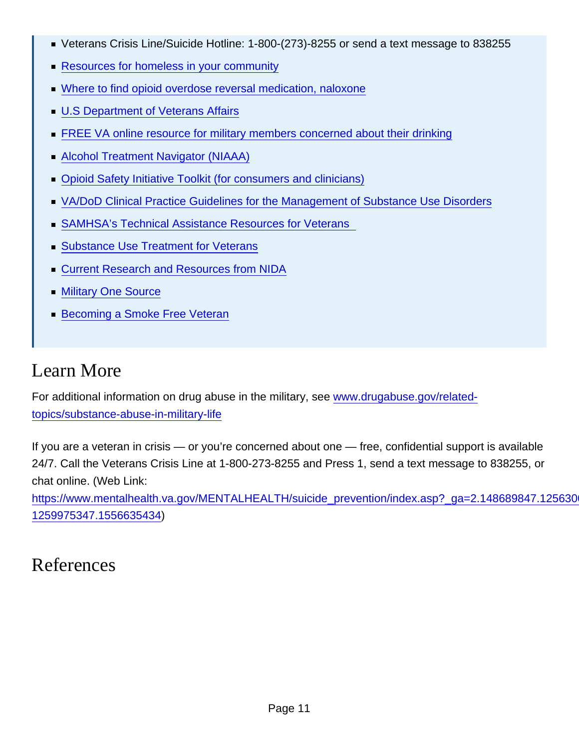- Veterans Crisis Line/Suicide Hotline: 1-800-(273)-8255 or send a text message to 838255
- [Resources for homeless in your community](https://www.samhsa.gov/homelessness-programs-resources/hpr-resources)
- [Where to find opioid overdose reversal medication, naloxone](http://www.getnaloxonenow.org/)
- [U.S Department of Veterans Affairs](https://www.va.gov/)
- [FREE VA online resource for military members concerned about their drinking](https://www.ptsd.va.gov/apps/change/)
- [Alcohol Treatment Navigator \(NIAAA\)](https://alcoholtreatment.niaaa.nih.gov/)
- [Opioid Safety Initiative Toolkit \(for consumers and clinicians\)](https://www.va.gov/PAINMANAGEMENT/Opioid_Safety_Initiative_OSI.asp)
- [VA/DoD Clinical Practice Guidelines for the Management of Substance Use Disorders](https://www.healthquality.va.gov/guidelines/Pain/cot/)
- [SAMHSA's Technical Assistance Resources for Veterans](https://www.samhsa.gov/smvf-ta-center/resources)
- [Substance Use Treatment for Veterans](https://www.va.gov/health-care/health-needs-conditions/substance-use-problems/)
- [Current Research and Resources from NIDA](http://nida.nih.gov/related-topics/military)
- [Military One Source](https://www.militaryonesource.mil/health-wellness)
- **[Becoming a Smoke Free Veteran](https://veterans.smokefree.gov/)**

## Learn More

For additional information on drug abuse in the military, see [www.drugabuse.gov/related](http://nida.nih.gov/related-topics/substance-abuse-in-military-life)[topics/substance-abuse-in-military-life](http://nida.nih.gov/related-topics/substance-abuse-in-military-life)

If you are a veteran in crisis — or you're concerned about one — free, confidential support is available 24/7. Call the Veterans Crisis Line at 1-800-273-8255 and Press 1, send a text message to 838255, or chat online. (Web Link:

https://www.mentalhealth.va.gov/MENTALHEALTH/suicide\_prevention/index.asp?\_ga=2.148689847.125630 [1259975347.1556635434\)](https://www.mentalhealth.va.gov/MENTALHEALTH/suicide_prevention/index.asp?_ga=2.148689847.1256300298.1556635434-1259975347.1556635434)

## References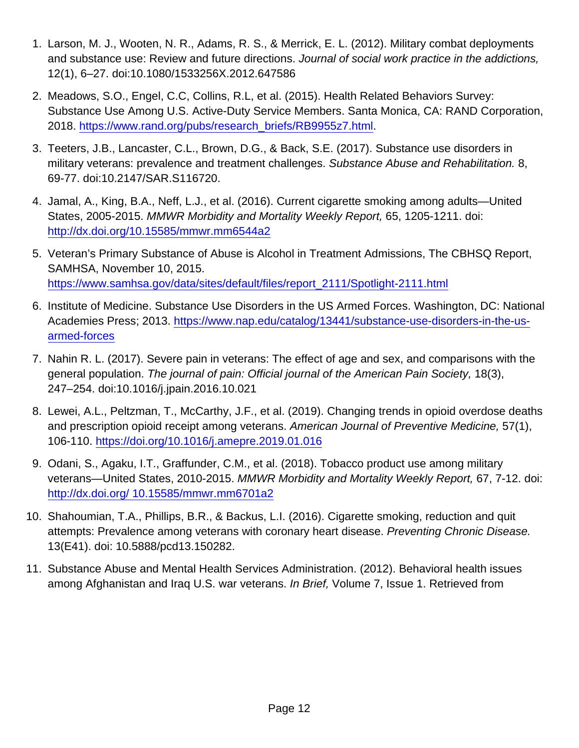- 1. Larson, M. J., Wooten, N. R., Adams, R. S., & Merrick, E. L. (2012). Military combat deployments and substance use: Review and future directions. Journal of social work practice in the addictions, 12(1), 6–27. doi:10.1080/1533256X.2012.647586
- 2. Meadows, S.O., Engel, C.C, Collins, R.L, et al. (2015). Health Related Behaviors Survey: Substance Use Among U.S. Active-Duty Service Members. Santa Monica, CA: RAND Corporation, 2018. [https://www.rand.org/pubs/research\\_briefs/RB9955z7.html.](https://www.rand.org/pubs/research_briefs/RB9955z7.html)
- 3. Teeters, J.B., Lancaster, C.L., Brown, D.G., & Back, S.E. (2017). Substance use disorders in military veterans: prevalence and treatment challenges. Substance Abuse and Rehabilitation. 8, 69-77. doi:10.2147/SAR.S116720.
- 4. Jamal, A., King, B.A., Neff, L.J., et al. (2016). Current cigarette smoking among adults—United States, 2005-2015. MMWR Morbidity and Mortality Weekly Report, 65, 1205-1211. doi: <http://dx.doi.org/10.15585/mmwr.mm6544a2>
- 5. Veteran's Primary Substance of Abuse is Alcohol in Treatment Admissions, The CBHSQ Report, SAMHSA, November 10, 2015. [https://www.samhsa.gov/data/sites/default/files/report\\_2111/Spotlight-2111.html](https://www.samhsa.gov/data/sites/default/files/report_2111/Spotlight-2111.html)
- 6. Institute of Medicine. Substance Use Disorders in the US Armed Forces. Washington, DC: National Academies Press; 2013. [https://www.nap.edu/catalog/13441/substance-use-disorders-in-the-us](https://www.nap.edu/catalog/13441/substance-use-disorders-in-the-us-armed-forces)[armed-forces](https://www.nap.edu/catalog/13441/substance-use-disorders-in-the-us-armed-forces)
- 7. Nahin R. L. (2017). Severe pain in veterans: The effect of age and sex, and comparisons with the general population. The journal of pain: Official journal of the American Pain Society, 18(3), 247–254. doi:10.1016/j.jpain.2016.10.021
- 8. Lewei, A.L., Peltzman, T., McCarthy, J.F., et al. (2019). Changing trends in opioid overdose deaths and prescription opioid receipt among veterans. American Journal of Preventive Medicine, 57(1), 106-110.<https://doi.org/10.1016/j.amepre.2019.01.016>
- 9. Odani, S., Agaku, I.T., Graffunder, C.M., et al. (2018). Tobacco product use among military veterans—United States, 2010-2015. MMWR Morbidity and Mortality Weekly Report, 67, 7-12. doi: [http://dx.doi.org/ 10.15585/mmwr.mm6701a2](http://dx.doi.org/
10.15585/mmwr.mm6701a2)
- 10. Shahoumian, T.A., Phillips, B.R., & Backus, L.I. (2016). Cigarette smoking, reduction and quit attempts: Prevalence among veterans with coronary heart disease. Preventing Chronic Disease. 13(E41). doi: 10.5888/pcd13.150282.
- 11. Substance Abuse and Mental Health Services Administration. (2012). Behavioral health issues among Afghanistan and Iraq U.S. war veterans. In Brief, Volume 7, Issue 1. Retrieved from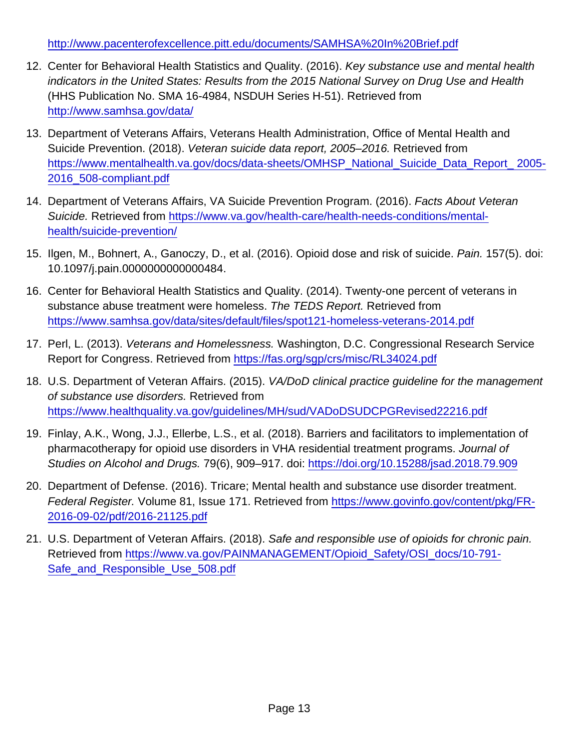[http://www.pacenterofexcellence.pitt.edu/documents/SAMHSA%20In%20Brief.pdf](http://www.pacenterofexcellence.pitt.edu/documents/SAMHSA In Brief.pdf )

- 12. Center for Behavioral Health Statistics and Quality. (2016). Key substance use and mental health indicators in the United States: Results from the 2015 National Survey on Drug Use and Health (HHS Publication No. SMA 16-4984, NSDUH Series H-51). Retrieved from <http://www.samhsa.gov/data/>
- 13. Department of Veterans Affairs, Veterans Health Administration, Office of Mental Health and Suicide Prevention. (2018). Veteran suicide data report, 2005–2016. Retrieved from [https://www.mentalhealth.va.gov/docs/data-sheets/OMHSP\\_National\\_Suicide\\_Data\\_Report\\_ 2005-](https://www.mentalhealth.va.gov/docs/data-sheets/OMHSP_National_Suicide_Data_Report_ 2005-2016_508-compliant.pdf ) [2016\\_508-compliant.pdf](https://www.mentalhealth.va.gov/docs/data-sheets/OMHSP_National_Suicide_Data_Report_ 2005-2016_508-compliant.pdf )
- 14. Department of Veterans Affairs, VA Suicide Prevention Program. (2016). Facts About Veteran Suicide. Retrieved from [https://www.va.gov/health-care/health-needs-conditions/mental](https://www.va.gov/health-care/health-needs-conditions/mental-health/suicide-prevention/)[health/suicide-prevention/](https://www.va.gov/health-care/health-needs-conditions/mental-health/suicide-prevention/)
- 15. Ilgen, M., Bohnert, A., Ganoczy, D., et al. (2016). Opioid dose and risk of suicide. Pain. 157(5). doi: 10.1097/j.pain.0000000000000484.
- 16. Center for Behavioral Health Statistics and Quality. (2014). Twenty-one percent of veterans in substance abuse treatment were homeless. The TEDS Report. Retrieved from <https://www.samhsa.gov/data/sites/default/files/spot121-homeless-veterans-2014.pdf>
- 17. Perl, L. (2013). Veterans and Homelessness. Washington, D.C. Congressional Research Service Report for Congress. Retrieved from<https://fas.org/sgp/crs/misc/RL34024.pdf>
- 18. U.S. Department of Veteran Affairs. (2015). VA/DoD clinical practice guideline for the management of substance use disorders. Retrieved from <https://www.healthquality.va.gov/guidelines/MH/sud/VADoDSUDCPGRevised22216.pdf>
- 19. Finlay, A.K., Wong, J.J., Ellerbe, L.S., et al. (2018). Barriers and facilitators to implementation of pharmacotherapy for opioid use disorders in VHA residential treatment programs. Journal of Studies on Alcohol and Drugs. 79(6), 909–917. doi:<https://doi.org/10.15288/jsad.2018.79.909>
- 20. Department of Defense. (2016). Tricare; Mental health and substance use disorder treatment. Federal Register. Volume 81, Issue 171. Retrieved from [https://www.govinfo.gov/content/pkg/FR-](https://www.govinfo.gov/content/pkg/FR-2016-09-02/pdf/2016-21125.pdf)[2016-09-02/pdf/2016-21125.pdf](https://www.govinfo.gov/content/pkg/FR-2016-09-02/pdf/2016-21125.pdf)
- 21. U.S. Department of Veteran Affairs. (2018). Safe and responsible use of opioids for chronic pain. Retrieved from [https://www.va.gov/PAINMANAGEMENT/Opioid\\_Safety/OSI\\_docs/10-791-](https://www.va.gov/PAINMANAGEMENT/Opioid_Safety/OSI_docs/10-791-Safe_and_Responsible_Use_508.pdf) [Safe\\_and\\_Responsible\\_Use\\_508.pdf](https://www.va.gov/PAINMANAGEMENT/Opioid_Safety/OSI_docs/10-791-Safe_and_Responsible_Use_508.pdf)